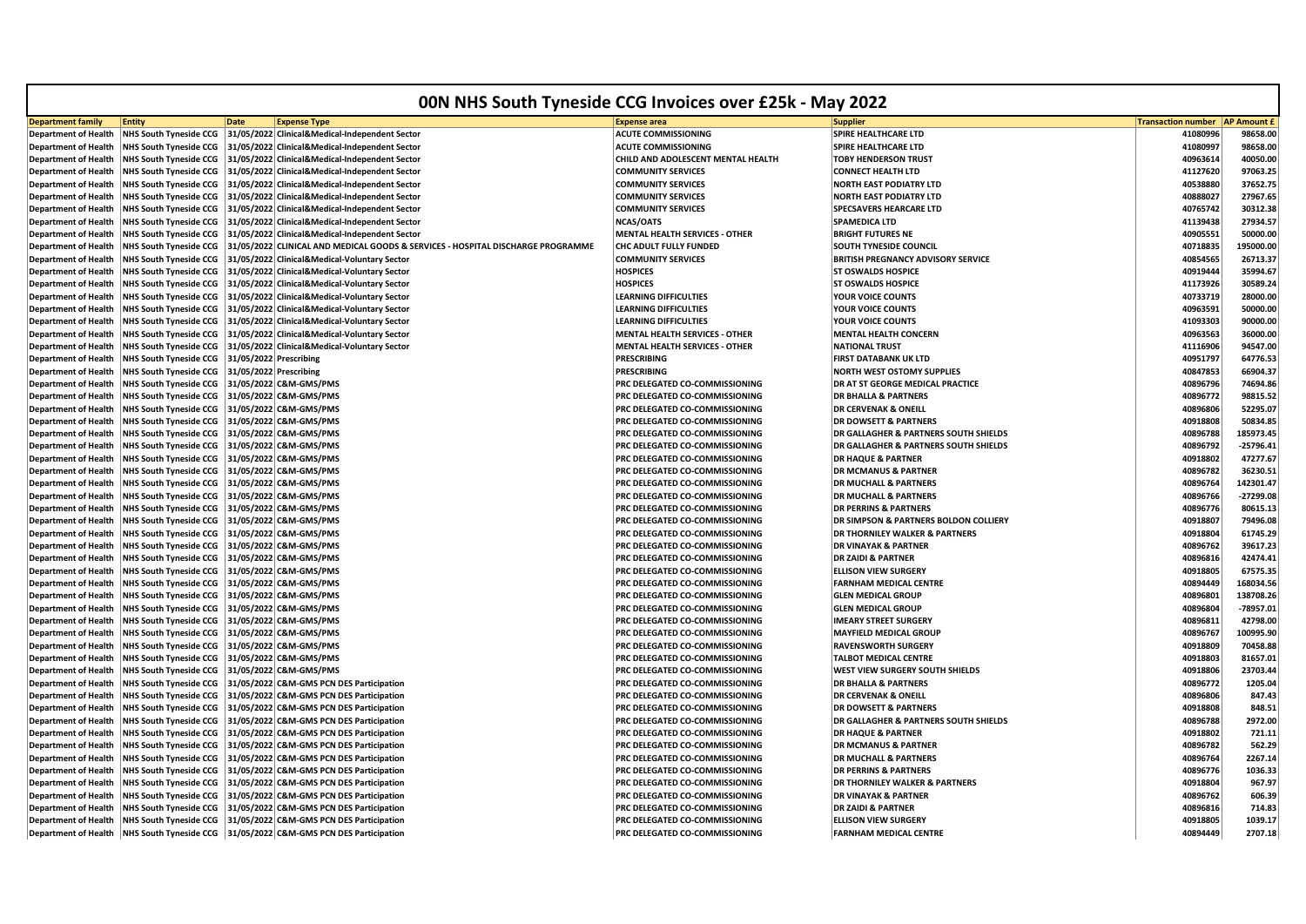| 00N NHS South Tyneside CCG Invoices over £25k - May 2022   |                                                                |             |                                                                                 |                                                                  |                                                                    |                                         |                      |
|------------------------------------------------------------|----------------------------------------------------------------|-------------|---------------------------------------------------------------------------------|------------------------------------------------------------------|--------------------------------------------------------------------|-----------------------------------------|----------------------|
| <b>Department family</b>                                   | <b>Entity</b>                                                  | <b>Date</b> | <b>Expense Type</b>                                                             | <b>Expense area</b>                                              | <b>Supplier</b>                                                    | <b>Transaction number   AP Amount £</b> |                      |
| <b>Department of Health</b>                                | <b>NHS South Tyneside CCG</b>                                  |             | 31/05/2022 Clinical&Medical-Independent Sector                                  | <b>ACUTE COMMISSIONING</b>                                       | SPIRE HEALTHCARE LTD                                               | 41080996                                | 98658.00             |
| <b>Department of Health</b>                                | <b>NHS South Tyneside CCG</b>                                  |             | 31/05/2022 Clinical&Medical-Independent Sector                                  | <b>ACUTE COMMISSIONING</b>                                       | <b>SPIRE HEALTHCARE LTD</b>                                        | 41080997                                | 98658.00             |
| <b>Department of Health</b>                                | <b>NHS South Tyneside CCG</b>                                  |             | 31/05/2022 Clinical&Medical-Independent Sector                                  | CHILD AND ADOLESCENT MENTAL HEALTH                               | <b>TOBY HENDERSON TRUST</b>                                        | 40963614                                | 40050.00             |
| <b>Department of Health</b>                                | <b>NHS South Tyneside CCG</b>                                  |             | 31/05/2022 Clinical&Medical-Independent Sector                                  | <b>COMMUNITY SERVICES</b>                                        | <b>CONNECT HEALTH LTD</b>                                          | 41127620                                | 97063.25             |
| <b>Department of Health</b>                                | <b>NHS South Tyneside CCG</b>                                  |             | 31/05/2022 Clinical&Medical-Independent Sector                                  | <b>COMMUNITY SERVICES</b>                                        | <b>NORTH EAST PODIATRY LTD</b>                                     | 40538880                                | 37652.75             |
| <b>Department of Health</b>                                | <b>NHS South Tyneside CCG</b>                                  |             | 31/05/2022 Clinical&Medical-Independent Sector                                  | <b>COMMUNITY SERVICES</b>                                        | <b>NORTH EAST PODIATRY LTD</b>                                     | 40888027                                | 27967.65             |
| <b>Department of Health</b>                                | <b>NHS South Tyneside CCG</b>                                  |             | 31/05/2022 Clinical&Medical-Independent Sector                                  | <b>COMMUNITY SERVICES</b>                                        | SPECSAVERS HEARCARE LTD                                            | 40765742                                | 30312.38             |
| <b>Department of Health</b>                                | <b>NHS South Tyneside CCG</b>                                  |             | 31/05/2022 Clinical&Medical-Independent Sector                                  | <b>NCAS/OATS</b>                                                 | SPAMEDICA LTD                                                      | 41139438                                | 27934.57             |
| <b>Department of Health</b>                                | <b>NHS South Tyneside CCG</b>                                  |             | 31/05/2022 Clinical&Medical-Independent Sector                                  | <b>MENTAL HEALTH SERVICES - OTHER</b>                            | <b>BRIGHT FUTURES NE</b>                                           | 40905551                                | 50000.00             |
| <b>Department of Health</b>                                | <b>NHS South Tyneside CCG</b>                                  |             | 31/05/2022 CLINICAL AND MEDICAL GOODS & SERVICES - HOSPITAL DISCHARGE PROGRAMME | CHC ADULT FULLY FUNDED                                           | SOUTH TYNESIDE COUNCIL                                             | 40718835                                | 195000.00            |
| <b>Department of Health</b>                                | <b>NHS South Tyneside CCG</b>                                  |             | 31/05/2022 Clinical&Medical-Voluntary Sector                                    | <b>COMMUNITY SERVICES</b>                                        | BRITISH PREGNANCY ADVISORY SERVICE                                 | 40854565                                | 26713.37             |
| <b>Department of Health</b>                                | <b>NHS South Tyneside CCG</b>                                  |             | 31/05/2022 Clinical&Medical-Voluntary Sector                                    | <b>HOSPICES</b>                                                  | <b>ST OSWALDS HOSPICE</b>                                          | 40919444                                | 35994.67             |
| <b>Department of Health</b>                                | <b>NHS South Tyneside CCG</b>                                  |             | 31/05/2022 Clinical&Medical-Voluntary Sector                                    | <b>HOSPICES</b>                                                  | <b>ST OSWALDS HOSPICE</b>                                          | 41173926                                | 30589.24             |
| <b>Department of Health</b>                                | <b>NHS South Tyneside CCG</b>                                  |             | 31/05/2022 Clinical&Medical-Voluntary Sector                                    | <b>LEARNING DIFFICULTIES</b>                                     | YOUR VOICE COUNTS                                                  | 40733719                                | 28000.00             |
| <b>Department of Health</b>                                | <b>NHS South Tyneside CCG</b>                                  |             | 31/05/2022 Clinical&Medical-Voluntary Sector                                    | <b>LEARNING DIFFICULTIES</b>                                     | YOUR VOICE COUNTS                                                  | 40963591                                | 50000.00             |
| <b>Department of Health</b>                                | <b>NHS South Tyneside CCG</b>                                  |             | 31/05/2022 Clinical&Medical-Voluntary Sector                                    | <b>LEARNING DIFFICULTIES</b>                                     | <b>YOUR VOICE COUNTS</b>                                           | 41093303                                | 90000.00             |
| <b>Department of Health</b>                                | <b>NHS South Tyneside CCG</b>                                  |             | 31/05/2022 Clinical&Medical-Voluntary Sector                                    | <b>MENTAL HEALTH SERVICES - OTHER</b>                            | <b>MENTAL HEALTH CONCERN</b>                                       | 40963563                                | 36000.00             |
| <b>Department of Health</b>                                | <b>NHS South Tyneside CCG</b>                                  |             | 31/05/2022 Clinical&Medical-Voluntary Sector                                    | <b>MENTAL HEALTH SERVICES - OTHER</b>                            | <b>NATIONAL TRUST</b>                                              | 41116906                                | 94547.00             |
| <b>Department of Health</b>                                | <b>NHS South Tyneside CCG</b>                                  |             | 31/05/2022 Prescribing                                                          | <b>PRESCRIBING</b>                                               | <b>FIRST DATABANK UK LTD</b>                                       | 40951797                                | 64776.53             |
| <b>Department of Health</b>                                | <b>NHS South Tyneside CCG</b>                                  |             | 31/05/2022 Prescribing                                                          | PRESCRIBING                                                      | NORTH WEST OSTOMY SUPPLIES                                         | 40847853                                | 66904.37             |
| <b>Department of Health</b>                                | <b>NHS South Tyneside CCG</b>                                  |             | 31/05/2022 C&M-GMS/PMS                                                          | PRC DELEGATED CO-COMMISSIONING                                   | DR AT ST GEORGE MEDICAL PRACTICE                                   | 40896796                                | 74694.86             |
| <b>Department of Health</b>                                | <b>NHS South Tyneside CCG</b>                                  |             | 31/05/2022 C&M-GMS/PMS                                                          | PRC DELEGATED CO-COMMISSIONING                                   | <b>DR BHALLA &amp; PARTNERS</b>                                    | 40896772                                | 98815.52             |
| <b>Department of Health</b>                                | <b>NHS South Tyneside CCG</b>                                  |             | 31/05/2022 C&M-GMS/PMS                                                          | PRC DELEGATED CO-COMMISSIONING                                   | <b>DR CERVENAK &amp; ONEILL</b>                                    | 40896806                                | 52295.07             |
| <b>Department of Health</b>                                | <b>NHS South Tyneside CCG</b>                                  |             | 31/05/2022 C&M-GMS/PMS                                                          | PRC DELEGATED CO-COMMISSIONING                                   | <b>DR DOWSETT &amp; PARTNERS</b>                                   | 40918808                                | 50834.85             |
| <b>Department of Health</b>                                | <b>NHS South Tyneside CCG</b>                                  |             | 31/05/2022 C&M-GMS/PMS                                                          | PRC DELEGATED CO-COMMISSIONING                                   | DR GALLAGHER & PARTNERS SOUTH SHIELDS                              | 40896788                                | 185973.45            |
| <b>Department of Health</b>                                | <b>NHS South Tyneside CCG</b>                                  |             | 31/05/2022 C&M-GMS/PMS                                                          | PRC DELEGATED CO-COMMISSIONING                                   | DR GALLAGHER & PARTNERS SOUTH SHIELDS                              | 40896792                                | $-25796.41$          |
| <b>Department of Health</b>                                | <b>NHS South Tyneside CCG</b>                                  |             | 31/05/2022 C&M-GMS/PMS                                                          | PRC DELEGATED CO-COMMISSIONING                                   | <b>DR HAQUE &amp; PARTNER</b>                                      | 40918802                                | 47277.67             |
| <b>Department of Health</b>                                | <b>NHS South Tyneside CCG</b>                                  |             | 31/05/2022 C&M-GMS/PMS                                                          | PRC DELEGATED CO-COMMISSIONING                                   | <b>DR MCMANUS &amp; PARTNER</b>                                    | 40896782                                | 36230.51             |
| <b>Department of Health</b>                                | <b>NHS South Tyneside CCG</b>                                  |             | 31/05/2022 C&M-GMS/PMS                                                          | PRC DELEGATED CO-COMMISSIONING                                   | <b>DR MUCHALL &amp; PARTNERS</b>                                   | 40896764                                | 142301.47            |
| <b>Department of Health</b>                                | <b>NHS South Tyneside CCG</b>                                  |             | 31/05/2022 C&M-GMS/PMS                                                          | PRC DELEGATED CO-COMMISSIONING                                   | <b>DR MUCHALL &amp; PARTNERS</b>                                   | 40896766                                | -27299.08            |
|                                                            | <b>NHS South Tyneside CCG</b>                                  |             | 31/05/2022 C&M-GMS/PMS                                                          | PRC DELEGATED CO-COMMISSIONING                                   | <b>DR PERRINS &amp; PARTNERS</b>                                   | 40896776                                | 80615.13             |
| <b>Department of Health</b><br><b>Department of Health</b> | <b>NHS South Tyneside CCG</b>                                  |             | 31/05/2022 C&M-GMS/PMS                                                          | PRC DELEGATED CO-COMMISSIONING                                   | DR SIMPSON & PARTNERS BOLDON COLLIERY                              | 40918807                                | 79496.08             |
| <b>Department of Health</b>                                | <b>NHS South Tyneside CCG</b>                                  |             | 31/05/2022 C&M-GMS/PMS                                                          | PRC DELEGATED CO-COMMISSIONING                                   | <b>DR THORNILEY WALKER &amp; PARTNERS</b>                          | 40918804                                | 61745.29             |
| <b>Department of Health</b>                                | <b>NHS South Tyneside CCG</b>                                  |             | 31/05/2022 C&M-GMS/PMS                                                          | PRC DELEGATED CO-COMMISSIONING                                   | <b>DR VINAYAK &amp; PARTNER</b>                                    | 40896762                                | 39617.23             |
|                                                            |                                                                |             | 31/05/2022 C&M-GMS/PMS                                                          | PRC DELEGATED CO-COMMISSIONING                                   | <b>DR ZAIDI &amp; PARTNER</b>                                      | 40896816                                | 42474.41             |
| <b>Department of Health</b><br><b>Department of Health</b> | <b>NHS South Tyneside CCG</b><br><b>NHS South Tyneside CCG</b> |             | 31/05/2022 C&M-GMS/PMS                                                          | PRC DELEGATED CO-COMMISSIONING                                   | <b>ELLISON VIEW SURGERY</b>                                        | 40918805                                | 67575.35             |
|                                                            |                                                                |             | 31/05/2022 C&M-GMS/PMS                                                          | PRC DELEGATED CO-COMMISSIONING                                   | <b>FARNHAM MEDICAL CENTRE</b>                                      | 40894449                                | 168034.56            |
| <b>Department of Health</b>                                | <b>NHS South Tyneside CCG</b>                                  |             | 31/05/2022 C&M-GMS/PMS                                                          | PRC DELEGATED CO-COMMISSIONING                                   | <b>GLEN MEDICAL GROUP</b>                                          | 40896801                                | 138708.26            |
| <b>Department of Health</b><br><b>Department of Health</b> | <b>NHS South Tyneside CCG</b><br><b>NHS South Tyneside CCG</b> |             | 31/05/2022 C&M-GMS/PMS                                                          | PRC DELEGATED CO-COMMISSIONING                                   | <b>GLEN MEDICAL GROUP</b>                                          | 40896804                                | -78957.01            |
| <b>Department of Health</b>                                | <b>NHS South Tyneside CCG</b>                                  |             | 31/05/2022 C&M-GMS/PMS                                                          | PRC DELEGATED CO-COMMISSIONING                                   | <b>IMEARY STREET SURGERY</b>                                       | 40896811                                | 42798.00             |
|                                                            | <b>NHS South Tyneside CCG</b>                                  |             | 31/05/2022 C&M-GMS/PMS                                                          | PRC DELEGATED CO-COMMISSIONING                                   | <b>MAYFIELD MEDICAL GROUP</b>                                      | 40896767                                | 100995.90            |
| <b>Department of Health</b>                                |                                                                |             |                                                                                 |                                                                  |                                                                    |                                         |                      |
| <b>Department of Health</b>                                | <b>NHS South Tyneside CCG</b>                                  |             | 31/05/2022 C&M-GMS/PMS<br>31/05/2022 C&M-GMS/PMS                                | PRC DELEGATED CO-COMMISSIONING                                   | <b>RAVENSWORTH SURGERY</b>                                         | 40918809<br>40918803                    | 70458.88<br>81657.01 |
| <b>Department of Health</b>                                | <b>NHS South Tyneside CCG</b>                                  |             |                                                                                 | PRC DELEGATED CO-COMMISSIONING                                   | <b>TALBOT MEDICAL CENTRE</b>                                       |                                         |                      |
| <b>Department of Health</b><br><b>Department of Health</b> | <b>NHS South Tyneside CCG</b>                                  |             | 31/05/2022 C&M-GMS/PMS<br>31/05/2022 C&M-GMS PCN DES Participation              | PRC DELEGATED CO-COMMISSIONING<br>PRC DELEGATED CO-COMMISSIONING | WEST VIEW SURGERY SOUTH SHIELDS<br><b>DR BHALLA &amp; PARTNERS</b> | 40918806<br>40896772                    | 23703.44<br>1205.04  |
|                                                            | <b>NHS South Tyneside CCG</b>                                  |             | 31/05/2022 C&M-GMS PCN DES Participation                                        |                                                                  | <b>DR CERVENAK &amp; ONEILL</b>                                    | 40896806                                | 847.43               |
| <b>Department of Health</b>                                | <b>NHS South Tyneside CCG</b>                                  |             |                                                                                 | PRC DELEGATED CO-COMMISSIONING                                   | <b>DR DOWSETT &amp; PARTNERS</b>                                   |                                         | 848.51               |
| <b>Department of Health</b>                                | <b>NHS South Tyneside CCG</b>                                  |             | 31/05/2022 C&M-GMS PCN DES Participation                                        | PRC DELEGATED CO-COMMISSIONING                                   |                                                                    | 40918808                                |                      |
| <b>Department of Health</b>                                | <b>NHS South Tyneside CCG</b>                                  |             | 31/05/2022 C&M-GMS PCN DES Participation                                        | PRC DELEGATED CO-COMMISSIONING                                   | <b>DR GALLAGHER &amp; PARTNERS SOUTH SHIELDS</b>                   | 40896788                                | 2972.00              |
| <b>Department of Health</b>                                | <b>NHS South Tyneside CCG</b><br><b>NHS South Tyneside CCG</b> |             | 31/05/2022 C&M-GMS PCN DES Participation                                        | PRC DELEGATED CO-COMMISSIONING<br>PRC DELEGATED CO-COMMISSIONING | <b>DR HAQUE &amp; PARTNER</b><br><b>DR MCMANUS &amp; PARTNER</b>   | 40918802                                | 721.11               |
| <b>Department of Health</b>                                |                                                                |             | 31/05/2022 C&M-GMS PCN DES Participation                                        |                                                                  |                                                                    | 40896782                                | 562.29               |
| <b>Department of Health</b>                                | <b>NHS South Tyneside CCG</b>                                  |             | 31/05/2022 C&M-GMS PCN DES Participation                                        | PRC DELEGATED CO-COMMISSIONING                                   | <b>DR MUCHALL &amp; PARTNERS</b>                                   | 40896764                                | 2267.14              |
| <b>Department of Health</b>                                | <b>NHS South Tyneside CCG</b>                                  |             | 31/05/2022 C&M-GMS PCN DES Participation                                        | PRC DELEGATED CO-COMMISSIONING                                   | <b>DR PERRINS &amp; PARTNERS</b>                                   | 40896776                                | 1036.33              |
| <b>Department of Health</b>                                | <b>NHS South Tyneside CCG</b>                                  |             | 31/05/2022 C&M-GMS PCN DES Participation                                        | PRC DELEGATED CO-COMMISSIONING                                   | DR THORNILEY WALKER & PARTNERS                                     | 40918804                                | 967.97               |
| <b>Department of Health</b>                                | <b>NHS South Tyneside CCG</b>                                  |             | 31/05/2022 C&M-GMS PCN DES Participation                                        | PRC DELEGATED CO-COMMISSIONING                                   | <b>DR VINAYAK &amp; PARTNER</b>                                    | 40896762                                | 606.39               |
| <b>Department of Health</b>                                | <b>NHS South Tyneside CCG</b>                                  |             | 31/05/2022 C&M-GMS PCN DES Participation                                        | PRC DELEGATED CO-COMMISSIONING                                   | <b>DR ZAIDI &amp; PARTNER</b>                                      | 40896816                                | 714.83               |
| <b>Department of Health</b>                                | <b>NHS South Tyneside CCG</b>                                  |             | 31/05/2022 C&M-GMS PCN DES Participation                                        | PRC DELEGATED CO-COMMISSIONING                                   | <b>ELLISON VIEW SURGERY</b>                                        | 40918805                                | 1039.17              |
| <b>Department of Health</b>                                |                                                                |             | NHS South Tyneside CCG 31/05/2022 C&M-GMS PCN DES Participation                 | PRC DELEGATED CO-COMMISSIONING                                   | <b>FARNHAM MEDICAL CENTRE</b>                                      | 40894449                                | 2707.18              |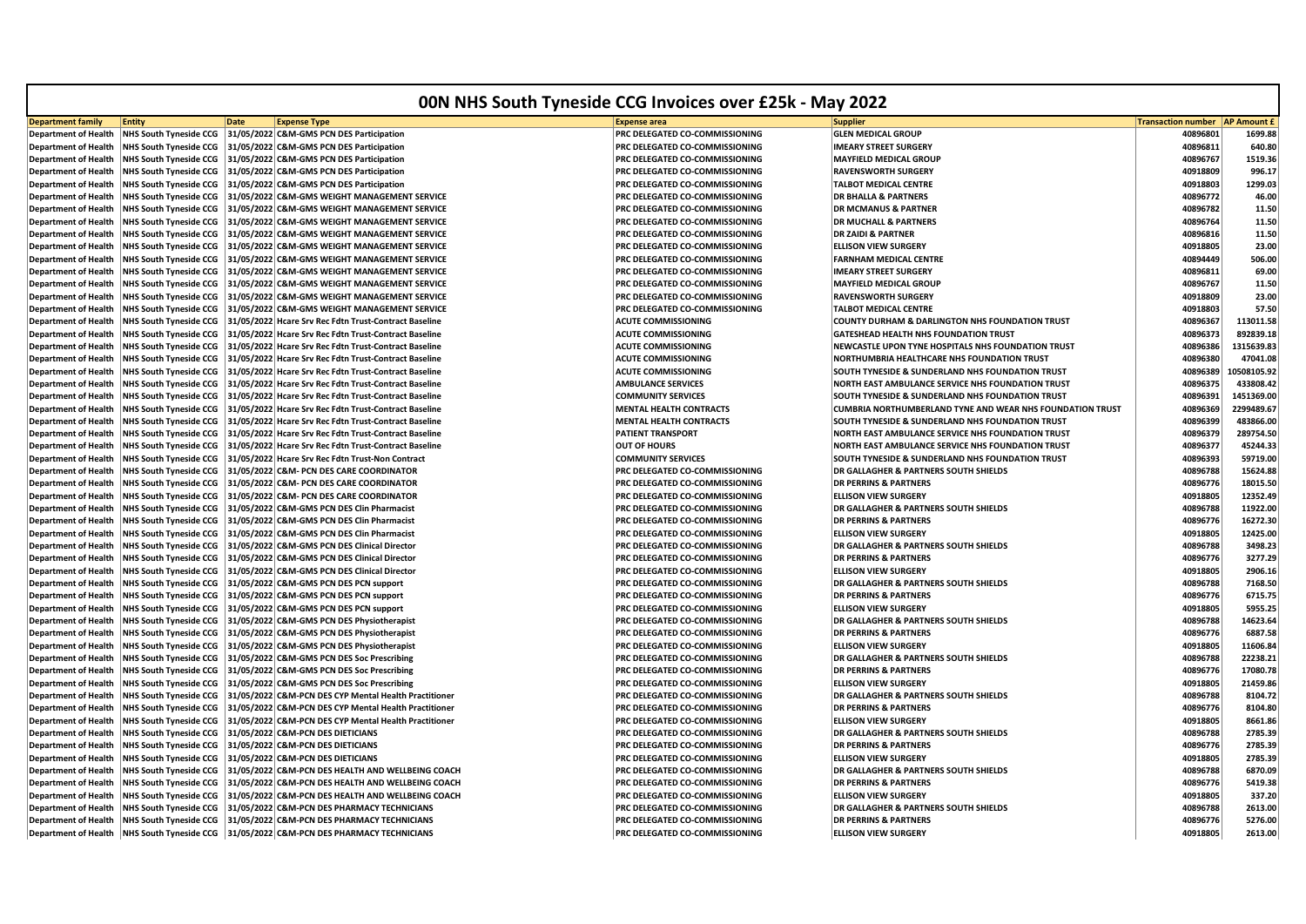| <b>00N NHS South Tyneside CCG Invoices over £25k - May 2022</b> |                                                                |                                                                                                                |                                                             |                                                                                                                      |                           |                          |
|-----------------------------------------------------------------|----------------------------------------------------------------|----------------------------------------------------------------------------------------------------------------|-------------------------------------------------------------|----------------------------------------------------------------------------------------------------------------------|---------------------------|--------------------------|
| <b>Department family</b>                                        | <b>Entity</b>                                                  | <b>Date</b><br><b>Expense Type</b>                                                                             | <b>Expense area</b>                                         | <b>Supplier</b>                                                                                                      | <b>Transaction number</b> | <b>AP Amount £</b>       |
| <b>Department of Health</b>                                     | <b>NHS South Tyneside CCG</b>                                  | 31/05/2022 C&M-GMS PCN DES Participation                                                                       | PRC DELEGATED CO-COMMISSIONING                              | <b>GLEN MEDICAL GROUP</b>                                                                                            | 40896801                  | 1699.88                  |
| <b>Department of Health</b>                                     | <b>NHS South Tyneside CCG</b>                                  | 31/05/2022 C&M-GMS PCN DES Participation                                                                       | PRC DELEGATED CO-COMMISSIONING                              | <b>IMEARY STREET SURGERY</b>                                                                                         | 40896811                  | 640.80                   |
| <b>Department of Health</b>                                     | <b>NHS South Tyneside CCG</b>                                  | 31/05/2022 C&M-GMS PCN DES Participation                                                                       | PRC DELEGATED CO-COMMISSIONING                              | <b>MAYFIELD MEDICAL GROUP</b>                                                                                        | 40896767                  | 1519.36                  |
| <b>Department of Health</b>                                     | <b>NHS South Tyneside CCG</b>                                  | 31/05/2022 C&M-GMS PCN DES Participation                                                                       | PRC DELEGATED CO-COMMISSIONING                              | <b>RAVENSWORTH SURGERY</b>                                                                                           | 40918809                  | 996.17                   |
| <b>Department of Health</b>                                     | <b>NHS South Tyneside CCG</b>                                  | 31/05/2022 C&M-GMS PCN DES Participation                                                                       | PRC DELEGATED CO-COMMISSIONING                              | <b>TALBOT MEDICAL CENTRE</b>                                                                                         | 40918803                  | 1299.03                  |
| <b>Department of Health</b>                                     | <b>NHS South Tyneside CCG</b>                                  | 31/05/2022 C&M-GMS WEIGHT MANAGEMENT SERVICE                                                                   | PRC DELEGATED CO-COMMISSIONING                              | <b>DR BHALLA &amp; PARTNERS</b>                                                                                      | 40896772                  | 46.00                    |
| <b>Department of Health</b>                                     | <b>NHS South Tyneside CCG</b>                                  | 31/05/2022 C&M-GMS WEIGHT MANAGEMENT SERVICE                                                                   | PRC DELEGATED CO-COMMISSIONING                              | <b>DR MCMANUS &amp; PARTNER</b>                                                                                      | 40896782                  | 11.50                    |
| <b>Department of Health</b>                                     | <b>NHS South Tyneside CCG</b>                                  | 31/05/2022 C&M-GMS WEIGHT MANAGEMENT SERVICE                                                                   | PRC DELEGATED CO-COMMISSIONING                              | <b>DR MUCHALL &amp; PARTNERS</b>                                                                                     | 40896764                  | 11.50                    |
| <b>Department of Health</b>                                     | <b>NHS South Tyneside CCG</b>                                  | 31/05/2022 C&M-GMS WEIGHT MANAGEMENT SERVICE                                                                   | PRC DELEGATED CO-COMMISSIONING                              | <b>DR ZAIDI &amp; PARTNER</b>                                                                                        | 40896816                  | 11.50                    |
| <b>Department of Health</b>                                     | <b>NHS South Tyneside CCG</b>                                  | 31/05/2022 C&M-GMS WEIGHT MANAGEMENT SERVICE                                                                   | PRC DELEGATED CO-COMMISSIONING                              | <b>ELLISON VIEW SURGERY</b>                                                                                          | 40918805                  | 23.00                    |
| <b>Department of Health</b>                                     | <b>NHS South Tyneside CCG</b>                                  | 31/05/2022 C&M-GMS WEIGHT MANAGEMENT SERVICE                                                                   | PRC DELEGATED CO-COMMISSIONING                              | <b>FARNHAM MEDICAL CENTRE</b>                                                                                        | 40894449                  | 506.00                   |
| <b>Department of Health</b>                                     | <b>NHS South Tyneside CCG</b>                                  | 31/05/2022 C&M-GMS WEIGHT MANAGEMENT SERVICE                                                                   | PRC DELEGATED CO-COMMISSIONING                              | <b>IMEARY STREET SURGERY</b>                                                                                         | 40896811                  | 69.00                    |
| <b>Department of Health</b>                                     | <b>NHS South Tyneside CCG</b>                                  | 31/05/2022 C&M-GMS WEIGHT MANAGEMENT SERVICE                                                                   | PRC DELEGATED CO-COMMISSIONING                              | <b>MAYFIELD MEDICAL GROUF</b>                                                                                        | 40896767                  | 11.50                    |
| <b>Department of Health</b>                                     | <b>NHS South Tyneside CCG</b>                                  | 31/05/2022 C&M-GMS WEIGHT MANAGEMENT SERVICE                                                                   | PRC DELEGATED CO-COMMISSIONING                              | <b>RAVENSWORTH SURGERY</b>                                                                                           | 40918809                  | 23.00                    |
| <b>Department of Health</b>                                     | <b>NHS South Tyneside CCG</b>                                  | 31/05/2022 C&M-GMS WEIGHT MANAGEMENT SERVICE                                                                   | PRC DELEGATED CO-COMMISSIONING                              | <b>TALBOT MEDICAL CENTRE</b>                                                                                         | 40918803                  | 57.50                    |
| <b>Department of Health</b>                                     | <b>NHS South Tyneside CCG</b>                                  | 31/05/2022 Hcare Srv Rec Fdtn Trust-Contract Baseline                                                          | <b>ACUTE COMMISSIONING</b>                                  | COUNTY DURHAM & DARLINGTON NHS FOUNDATION TRUST                                                                      | 40896367                  | 113011.58                |
| <b>Department of Health</b>                                     | <b>NHS South Tyneside CCG</b>                                  | 31/05/2022 Hcare Srv Rec Fdtn Trust-Contract Baseline                                                          | <b>ACUTE COMMISSIONING</b>                                  | GATESHEAD HEALTH NHS FOUNDATION TRUST                                                                                | 40896373                  | 892839.18                |
| <b>Department of Health</b>                                     | <b>NHS South Tyneside CCG</b>                                  | 31/05/2022 Hcare Srv Rec Fdtn Trust-Contract Baseline                                                          | <b>ACUTE COMMISSIONING</b>                                  | NEWCASTLE UPON TYNE HOSPITALS NHS FOUNDATION TRUST                                                                   | 40896386                  | 1315639.83<br>47041.08   |
| <b>Department of Health</b>                                     | <b>NHS South Tyneside CCG</b>                                  | 31/05/2022 Hcare Srv Rec Fdtn Trust-Contract Baseline                                                          | <b>ACUTE COMMISSIONING</b>                                  | NORTHUMBRIA HEALTHCARE NHS FOUNDATION TRUST                                                                          | 40896380                  |                          |
| <b>Department of Health</b>                                     | <b>NHS South Tyneside CCG</b>                                  | 31/05/2022 Hcare Srv Rec Fdtn Trust-Contract Baseline                                                          | <b>ACUTE COMMISSIONING</b>                                  | SOUTH TYNESIDE & SUNDERLAND NHS FOUNDATION TRUST                                                                     | 40896389                  | 0508105.92<br>433808.42  |
| <b>Department of Health</b>                                     | <b>NHS South Tyneside CCG</b>                                  | 31/05/2022 Hcare Srv Rec Fdtn Trust-Contract Baseline                                                          | <b>AMBULANCE SERVICES</b>                                   | NORTH EAST AMBULANCE SERVICE NHS FOUNDATION TRUST                                                                    | 40896375                  |                          |
| <b>Department of Health</b>                                     | <b>NHS South Tyneside CCG</b>                                  | 31/05/2022 Hcare Srv Rec Fdtn Trust-Contract Baseline                                                          | <b>COMMUNITY SERVICES</b><br><b>MENTAL HEALTH CONTRACTS</b> | SOUTH TYNESIDE & SUNDERLAND NHS FOUNDATION TRUST<br><b>CUMBRIA NORTHUMBERLAND TYNE AND WEAR NHS FOUNDATION TRUST</b> | 40896391                  | 1451369.00<br>2299489.67 |
| <b>Department of Health</b>                                     | <b>NHS South Tyneside CCG</b>                                  | 31/05/2022 Hcare Srv Rec Fdtn Trust-Contract Baseline<br>31/05/2022 Hcare Srv Rec Fdtn Trust-Contract Baseline | <b>MENTAL HEALTH CONTRACTS</b>                              | SOUTH TYNESIDE & SUNDERLAND NHS FOUNDATION TRUST                                                                     | 40896369                  |                          |
| <b>Department of Health</b><br><b>Department of Health</b>      | <b>NHS South Tyneside CCG</b><br><b>NHS South Tyneside CCG</b> | 31/05/2022 Hcare Srv Rec Fdtn Trust-Contract Baseline                                                          | <b>PATIENT TRANSPORT</b>                                    | NORTH EAST AMBULANCE SERVICE NHS FOUNDATION TRUST                                                                    | 40896399<br>40896379      | 483866.00<br>289754.50   |
| <b>Department of Health</b>                                     | <b>NHS South Tyneside CCG</b>                                  | 31/05/2022 Hcare Srv Rec Fdtn Trust-Contract Baseline                                                          | <b>OUT OF HOURS</b>                                         | NORTH EAST AMBULANCE SERVICE NHS FOUNDATION TRUST                                                                    | 40896377                  | 45244.33                 |
| <b>Department of Health</b>                                     | <b>NHS South Tyneside CCG</b>                                  | 31/05/2022 Hcare Srv Rec Fdtn Trust-Non Contract                                                               | <b>COMMUNITY SERVICES</b>                                   | SOUTH TYNESIDE & SUNDERLAND NHS FOUNDATION TRUST                                                                     | 40896393                  | 59719.00                 |
| <b>Department of Health</b>                                     | <b>NHS South Tyneside CCG</b>                                  | 31/05/2022 C&M- PCN DES CARE COORDINATOR                                                                       | PRC DELEGATED CO-COMMISSIONING                              | DR GALLAGHER & PARTNERS SOUTH SHIELDS                                                                                | 40896788                  | 15624.88                 |
| <b>Department of Health</b>                                     | <b>NHS South Tyneside CCG</b>                                  | 31/05/2022 C&M- PCN DES CARE COORDINATOR                                                                       | PRC DELEGATED CO-COMMISSIONING                              | <b>DR PERRINS &amp; PARTNERS</b>                                                                                     | 40896776                  | 18015.50                 |
| <b>Department of Health</b>                                     | <b>NHS South Tyneside CCG</b>                                  | 31/05/2022 C&M- PCN DES CARE COORDINATOR                                                                       | PRC DELEGATED CO-COMMISSIONING                              | <b>ELLISON VIEW SURGERY</b>                                                                                          | 40918805                  | 12352.49                 |
| <b>Department of Health</b>                                     | <b>NHS South Tyneside CCG</b>                                  | 31/05/2022 C&M-GMS PCN DES Clin Pharmacist                                                                     | PRC DELEGATED CO-COMMISSIONING                              | DR GALLAGHER & PARTNERS SOUTH SHIELDS                                                                                | 40896788                  | 11922.00                 |
| <b>Department of Health</b>                                     | <b>NHS South Tyneside CCG</b>                                  | 31/05/2022 C&M-GMS PCN DES Clin Pharmacist                                                                     | PRC DELEGATED CO-COMMISSIONING                              | <b>DR PERRINS &amp; PARTNERS</b>                                                                                     | 40896776                  | 16272.30                 |
| <b>Department of Health</b>                                     | <b>NHS South Tyneside CCG</b>                                  | 31/05/2022 C&M-GMS PCN DES Clin Pharmacist                                                                     | PRC DELEGATED CO-COMMISSIONING                              | <b>ELLISON VIEW SURGERY</b>                                                                                          | 40918805                  | 12425.00                 |
| <b>Department of Health</b>                                     | <b>NHS South Tyneside CCG</b>                                  | 31/05/2022 C&M-GMS PCN DES Clinical Director                                                                   | PRC DELEGATED CO-COMMISSIONING                              | DR GALLAGHER & PARTNERS SOUTH SHIELDS                                                                                | 40896788                  | 3498.23                  |
| <b>Department of Health</b>                                     | <b>NHS South Tyneside CCG</b>                                  | 31/05/2022 C&M-GMS PCN DES Clinical Director                                                                   | PRC DELEGATED CO-COMMISSIONING                              | <b>DR PERRINS &amp; PARTNERS</b>                                                                                     | 40896776                  | 3277.29                  |
| <b>Department of Health</b>                                     | <b>NHS South Tyneside CCG</b>                                  | 31/05/2022 C&M-GMS PCN DES Clinical Director                                                                   | PRC DELEGATED CO-COMMISSIONING                              | <b>ELLISON VIEW SURGERY</b>                                                                                          | 40918805                  | 2906.16                  |
| <b>Department of Health</b>                                     | <b>NHS South Tyneside CCG</b>                                  | 31/05/2022 C&M-GMS PCN DES PCN support                                                                         | PRC DELEGATED CO-COMMISSIONING                              | DR GALLAGHER & PARTNERS SOUTH SHIELDS                                                                                | 40896788                  | 7168.50                  |
| <b>Department of Health</b>                                     | <b>NHS South Tyneside CCG</b>                                  | 31/05/2022 C&M-GMS PCN DES PCN support                                                                         | PRC DELEGATED CO-COMMISSIONING                              | <b>DR PERRINS &amp; PARTNERS</b>                                                                                     | 40896776                  | 6715.75                  |
| <b>Department of Health</b>                                     | <b>NHS South Tyneside CCG</b>                                  | 31/05/2022 C&M-GMS PCN DES PCN support                                                                         | PRC DELEGATED CO-COMMISSIONING                              | <b>ELLISON VIEW SURGERY</b>                                                                                          | 40918805                  | 5955.25                  |
| <b>Department of Health</b>                                     | <b>NHS South Tyneside CCG</b>                                  | 31/05/2022 C&M-GMS PCN DES Physiotherapist                                                                     | PRC DELEGATED CO-COMMISSIONING                              | DR GALLAGHER & PARTNERS SOUTH SHIELDS                                                                                | 40896788                  | 14623.64                 |
| <b>Department of Health</b>                                     | <b>NHS South Tyneside CCG</b>                                  | 31/05/2022 C&M-GMS PCN DES Physiotherapist                                                                     | PRC DELEGATED CO-COMMISSIONING                              | <b>DR PERRINS &amp; PARTNERS</b>                                                                                     | 40896776                  | 6887.58                  |
| <b>Department of Health</b>                                     | <b>NHS South Tyneside CCG</b>                                  | 31/05/2022 C&M-GMS PCN DES Physiotherapist                                                                     | PRC DELEGATED CO-COMMISSIONING                              | <b>ELLISON VIEW SURGERY</b>                                                                                          | 40918805                  | 11606.84                 |
| <b>Department of Health</b>                                     | <b>NHS South Tyneside CCG</b>                                  | 31/05/2022 C&M-GMS PCN DES Soc Prescribing                                                                     | PRC DELEGATED CO-COMMISSIONING                              | DR GALLAGHER & PARTNERS SOUTH SHIELDS                                                                                | 40896788                  | 22238.21                 |
| <b>Department of Health</b>                                     | <b>NHS South Tyneside CCG</b>                                  | 31/05/2022 C&M-GMS PCN DES Soc Prescribing                                                                     | PRC DELEGATED CO-COMMISSIONING                              | <b>DR PERRINS &amp; PARTNERS</b>                                                                                     | 40896776                  | 17080.78                 |
| <b>Department of Health</b>                                     | <b>NHS South Tyneside CCG</b>                                  | 31/05/2022 C&M-GMS PCN DES Soc Prescribing                                                                     | PRC DELEGATED CO-COMMISSIONING                              | <b>ELLISON VIEW SURGERY</b>                                                                                          | 40918805                  | 21459.86                 |
| <b>Department of Health</b>                                     | <b>NHS South Tyneside CCG</b>                                  | 31/05/2022 C&M-PCN DES CYP Mental Health Practitioner                                                          | PRC DELEGATED CO-COMMISSIONING                              | DR GALLAGHER & PARTNERS SOUTH SHIELDS                                                                                | 40896788                  | 8104.72                  |
| <b>Department of Health</b>                                     | <b>NHS South Tyneside CCG</b>                                  | 31/05/2022 C&M-PCN DES CYP Mental Health Practitioner                                                          | PRC DELEGATED CO-COMMISSIONING                              | <b>DR PERRINS &amp; PARTNERS</b>                                                                                     | 40896776                  | 8104.80                  |
| <b>Department of Health</b>                                     | <b>NHS South Tyneside CCG</b>                                  | 31/05/2022 C&M-PCN DES CYP Mental Health Practitioner                                                          | PRC DELEGATED CO-COMMISSIONING                              | <b>ELLISON VIEW SURGERY</b>                                                                                          | 40918805                  | 8661.86                  |
| <b>Department of Health</b>                                     | <b>NHS South Tyneside CCG</b>                                  | 31/05/2022 C&M-PCN DES DIETICIANS                                                                              | PRC DELEGATED CO-COMMISSIONING                              | DR GALLAGHER & PARTNERS SOUTH SHIELDS                                                                                | 40896788                  | 2785.39                  |
| <b>Department of Health</b>                                     | <b>NHS South Tyneside CCG</b>                                  | 31/05/2022 C&M-PCN DES DIETICIANS                                                                              | PRC DELEGATED CO-COMMISSIONING                              | <b>DR PERRINS &amp; PARTNERS</b>                                                                                     | 40896776                  | 2785.39                  |
| <b>Department of Health</b>                                     | <b>NHS South Tyneside CCG</b>                                  | 31/05/2022 C&M-PCN DES DIETICIANS                                                                              | PRC DELEGATED CO-COMMISSIONING                              | <b>ELLISON VIEW SURGERY</b>                                                                                          | 40918805                  | 2785.39                  |
| <b>Department of Health</b>                                     | <b>NHS South Tyneside CCG</b>                                  | 31/05/2022 C&M-PCN DES HEALTH AND WELLBEING COACH                                                              | PRC DELEGATED CO-COMMISSIONING                              | DR GALLAGHER & PARTNERS SOUTH SHIELDS                                                                                | 40896788                  | 6870.09                  |
| <b>Department of Health</b>                                     | <b>NHS South Tyneside CCG</b>                                  | 31/05/2022 C&M-PCN DES HEALTH AND WELLBEING COACH                                                              | PRC DELEGATED CO-COMMISSIONING                              | <b>DR PERRINS &amp; PARTNERS</b>                                                                                     | 40896776                  | 5419.38                  |
| <b>Department of Health</b>                                     | <b>NHS South Tyneside CCG</b>                                  | 31/05/2022 C&M-PCN DES HEALTH AND WELLBEING COACH                                                              | PRC DELEGATED CO-COMMISSIONING                              | <b>ELLISON VIEW SURGERY</b>                                                                                          | 40918805                  | 337.20                   |
| <b>Department of Health</b>                                     | <b>NHS South Tyneside CCG</b>                                  | 31/05/2022 C&M-PCN DES PHARMACY TECHNICIANS                                                                    | PRC DELEGATED CO-COMMISSIONING                              | <b>DR GALLAGHER &amp; PARTNERS SOUTH SHIELDS</b>                                                                     | 40896788                  | 2613.00                  |
| <b>Department of Health</b>                                     | <b>NHS South Tyneside CCG</b>                                  | 31/05/2022 C&M-PCN DES PHARMACY TECHNICIANS                                                                    | PRC DELEGATED CO-COMMISSIONING                              | <b>DR PERRINS &amp; PARTNERS</b>                                                                                     | 40896776                  | 5276.00                  |
|                                                                 |                                                                | Department of Health NHS South Tyneside CCG 31/05/2022 C&M-PCN DES PHARMACY TECHNICIANS                        | <b>PRC DELEGATED CO-COMMISSIONING</b>                       | <b>ELLISON VIEW SURGERY</b>                                                                                          | 40918805                  | 2613.00                  |
|                                                                 |                                                                |                                                                                                                |                                                             |                                                                                                                      |                           |                          |